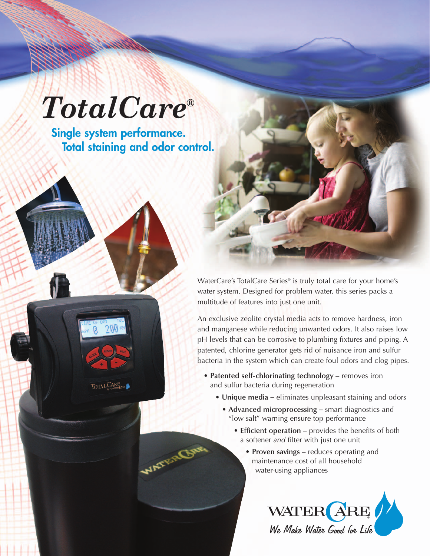## *TotalCare®*

**Single system performance. Total staining and odor control.**



WANTER

WaterCare's TotalCare Series® is truly total care for your home's water system. Designed for problem water, this series packs a multitude of features into just one unit.

An exclusive zeolite crystal media acts to remove hardness, iron and manganese while reducing unwanted odors. It also raises low pH levels that can be corrosive to plumbing fixtures and piping. A patented, chlorine generator gets rid of nuisance iron and sulfur bacteria in the system which can create foul odors and clog pipes.

- **Patented self-chlorinating technology –** removes iron and sulfur bacteria during regeneration
	- **Unique media –** eliminates unpleasant staining and odors
		- **Advanced microprocessing –** smart diagnostics and "low salt" warning ensure top performance
			- **Efficient operation –** provides the benefits of both a softener *and* filter with just one unit
				- **Proven savings –** reduces operating and maintenance cost of all household water-using appliances